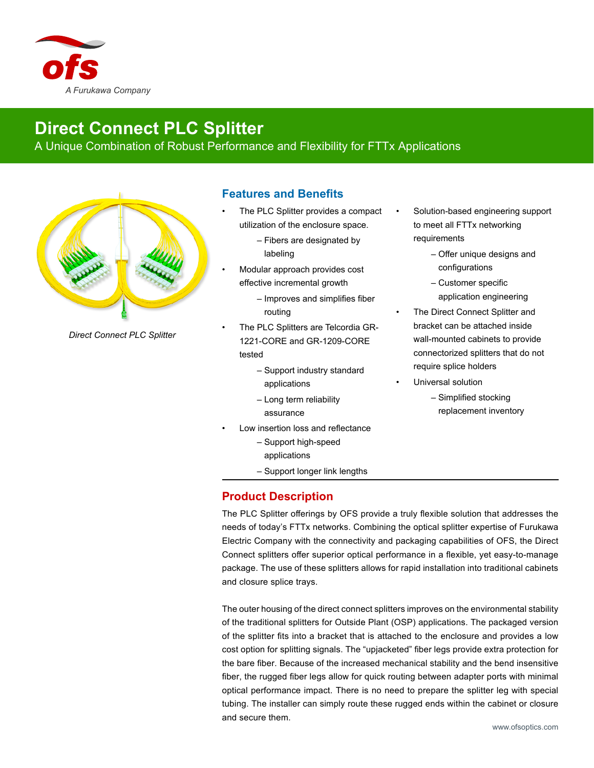

## **Direct Connect PLC Splitter**

A Unique Combination of Robust Performance and Flexibility for FTTx Applications



*Direct Connect PLC Splitter*

## **Features and Benefits**

- The PLC Splitter provides a compact utilization of the enclosure space.
	- Fibers are designated by labeling
	- Modular approach provides cost effective incremental growth
		- Improves and simplifies fiber routing
- The PLC Splitters are Telcordia GR-1221-CORE and GR-1209-CORE tested
	- Support industry standard applications
	- Long term reliability assurance
- Low insertion loss and reflectance
	- Support high-speed applications
	- Support longer link lengths

## **Product Description**

The PLC Splitter offerings by OFS provide a truly flexible solution that addresses the needs of today's FTTx networks. Combining the optical splitter expertise of Furukawa Electric Company with the connectivity and packaging capabilities of OFS, the Direct Connect splitters offer superior optical performance in a flexible, yet easy-to-manage package. The use of these splitters allows for rapid installation into traditional cabinets and closure splice trays.

The outer housing of the direct connect splitters improves on the environmental stability of the traditional splitters for Outside Plant (OSP) applications. The packaged version of the splitter fits into a bracket that is attached to the enclosure and provides a low cost option for splitting signals. The "upjacketed" fiber legs provide extra protection for the bare fiber. Because of the increased mechanical stability and the bend insensitive fiber, the rugged fiber legs allow for quick routing between adapter ports with minimal optical performance impact. There is no need to prepare the splitter leg with special tubing. The installer can simply route these rugged ends within the cabinet or closure and secure them.

- Solution-based engineering support to meet all FTTx networking requirements
	- Offer unique designs and configurations
	- Customer specific application engineering
- The Direct Connect Splitter and bracket can be attached inside wall-mounted cabinets to provide connectorized splitters that do not require splice holders
- Universal solution
	- Simplified stocking replacement inventory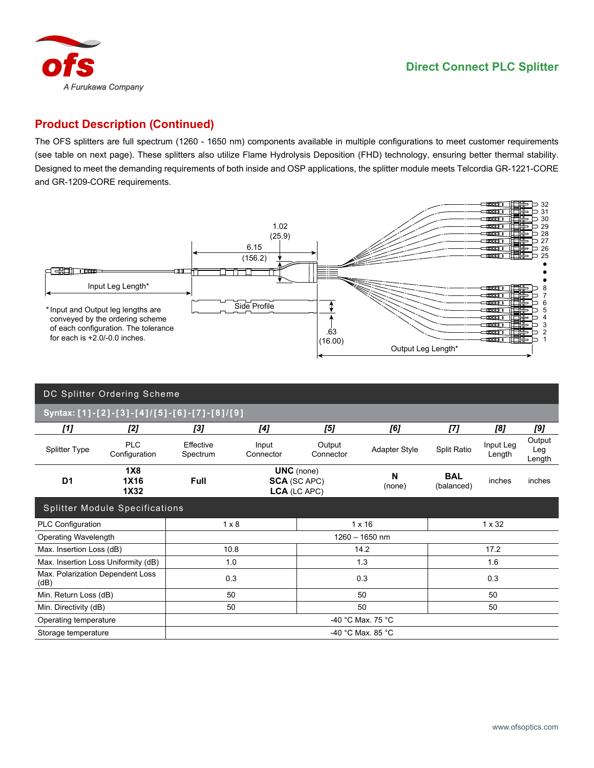

## **Product Description (Continued)**

The OFS splitters are full spectrum (1260 - 1650 nm) components available in multiple configurations to meet customer requirements (see table on next page). These splitters also utilize Flame Hydrolysis Deposition (FHD) technology, ensuring better thermal stability. Designed to meet the demanding requirements of both inside and OSP applications, the splitter module meets Telcordia GR-1221-CORE and GR-1209-CORE requirements.



| DC Splitter Ordering Scheme                 |                             |                       |                                                          |                     |                      |                          |                     |                         |  |
|---------------------------------------------|-----------------------------|-----------------------|----------------------------------------------------------|---------------------|----------------------|--------------------------|---------------------|-------------------------|--|
| Syntax: [1]-[2]-[3]-[4]/[5]-[6]-[7]-[8]/[9] |                             |                       |                                                          |                     |                      |                          |                     |                         |  |
| [1]                                         | [2]                         | [3]                   | [4]                                                      | [5]                 | [6]                  | [7]                      | [8]                 | [9]                     |  |
| <b>Splitter Type</b>                        | <b>PLC</b><br>Configuration | Effective<br>Spectrum | Input<br>Connector                                       | Output<br>Connector | <b>Adapter Style</b> | Split Ratio              | Input Leg<br>Length | Output<br>Leg<br>Length |  |
| D <sub>1</sub>                              | 1X8<br><b>1X16</b><br>1X32  | <b>Full</b>           | <b>UNC</b> (none)<br><b>SCA (SC APC)</b><br>LCA (LC APC) |                     | N<br>(none)          | <b>BAL</b><br>(balanced) | inches              | inches                  |  |
| <b>Splitter Module Specifications</b>       |                             |                       |                                                          |                     |                      |                          |                     |                         |  |
| PLC Configuration                           |                             | $1 \times 8$          |                                                          | $1 \times 16$       |                      | 1 x 32                   |                     |                         |  |
| <b>Operating Wavelength</b>                 |                             | $1260 - 1650$ nm      |                                                          |                     |                      |                          |                     |                         |  |
| Max. Insertion Loss (dB)                    |                             | 10.8                  |                                                          | 14.2                |                      | 17.2                     |                     |                         |  |
| Max. Insertion Loss Uniformity (dB)         |                             | 1.0                   |                                                          | 1.3                 |                      | 1.6                      |                     |                         |  |
| Max. Polarization Dependent Loss<br>(dB)    |                             | 0.3                   |                                                          | 0.3                 |                      | 0.3                      |                     |                         |  |
| Min. Return Loss (dB)                       |                             | 50                    |                                                          | 50                  |                      | 50                       |                     |                         |  |
| Min. Directivity (dB)                       |                             | 50                    |                                                          | 50                  |                      | 50                       |                     |                         |  |
| Operating temperature                       |                             | -40 °C Max. 75 °C     |                                                          |                     |                      |                          |                     |                         |  |
| Storage temperature                         |                             | -40 °C Max. 85 °C     |                                                          |                     |                      |                          |                     |                         |  |